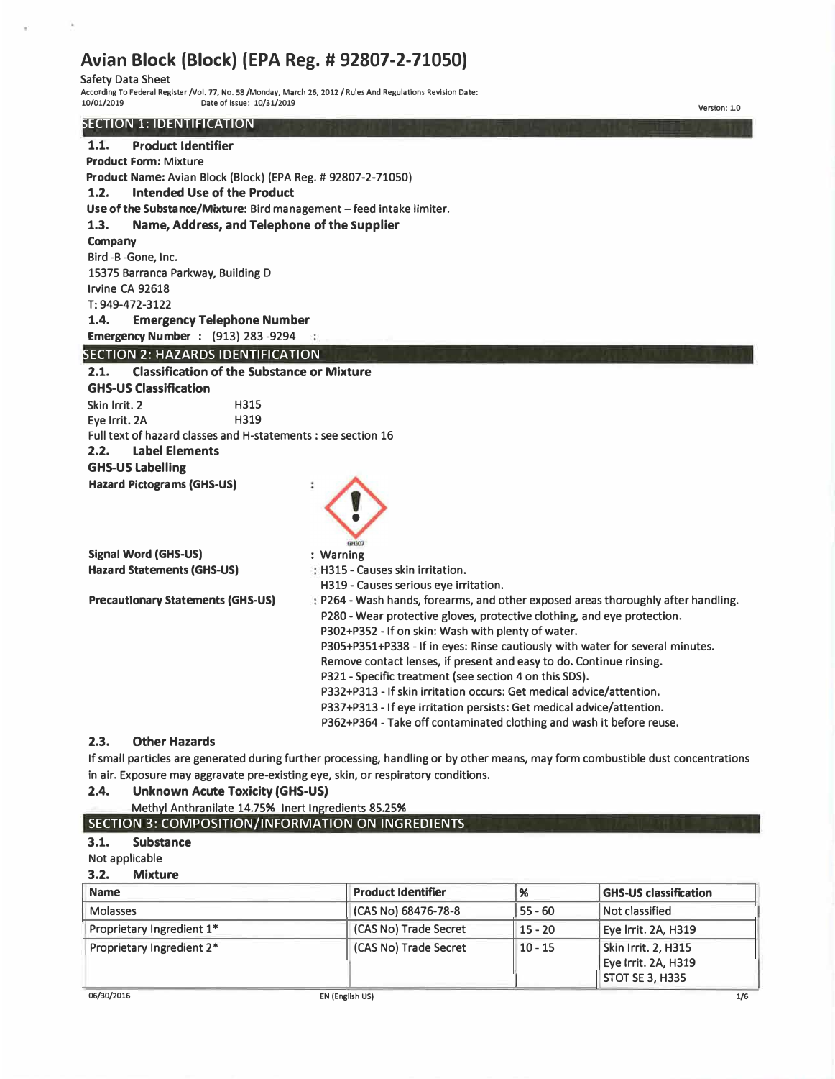# **Avian Block (Block) (EPA Reg. # 92807-2-71050)**

Safety Data Sheet

 $\lambda$ 

**A ccording To Federal Register/Vol. 77, No. 58 /Monday, March 26, 2012 / Rules And Regulations Revision Date: 10/01/2019 Date of Issue: 10/31/2019**

## SECTION 1: IDENTIFICATION

| <b>ECTION 1. IDENTIFICATION</b>                                      |                                                                                                                                                                                                                                                                                                                                                                                                                                                                                                                                                                                                                                                               |
|----------------------------------------------------------------------|---------------------------------------------------------------------------------------------------------------------------------------------------------------------------------------------------------------------------------------------------------------------------------------------------------------------------------------------------------------------------------------------------------------------------------------------------------------------------------------------------------------------------------------------------------------------------------------------------------------------------------------------------------------|
| <b>Product Identifier</b><br>1.1.                                    |                                                                                                                                                                                                                                                                                                                                                                                                                                                                                                                                                                                                                                                               |
| <b>Product Form: Mixture</b>                                         |                                                                                                                                                                                                                                                                                                                                                                                                                                                                                                                                                                                                                                                               |
| Product Name: Avian Block (Block) (EPA Reg. # 92807-2-71050)         |                                                                                                                                                                                                                                                                                                                                                                                                                                                                                                                                                                                                                                                               |
| Intended Use of the Product<br>1.2.                                  |                                                                                                                                                                                                                                                                                                                                                                                                                                                                                                                                                                                                                                                               |
| Use of the Substance/Mixture: Bird management - feed intake limiter. |                                                                                                                                                                                                                                                                                                                                                                                                                                                                                                                                                                                                                                                               |
| Name, Address, and Telephone of the Supplier<br>1.3.                 |                                                                                                                                                                                                                                                                                                                                                                                                                                                                                                                                                                                                                                                               |
| Company                                                              |                                                                                                                                                                                                                                                                                                                                                                                                                                                                                                                                                                                                                                                               |
| Bird -B -Gone, Inc.                                                  |                                                                                                                                                                                                                                                                                                                                                                                                                                                                                                                                                                                                                                                               |
| 15375 Barranca Parkway, Building D                                   |                                                                                                                                                                                                                                                                                                                                                                                                                                                                                                                                                                                                                                                               |
| Irvine CA 92618                                                      |                                                                                                                                                                                                                                                                                                                                                                                                                                                                                                                                                                                                                                                               |
| T: 949-472-3122                                                      |                                                                                                                                                                                                                                                                                                                                                                                                                                                                                                                                                                                                                                                               |
| 1.4.<br><b>Emergency Telephone Number</b>                            |                                                                                                                                                                                                                                                                                                                                                                                                                                                                                                                                                                                                                                                               |
| <b>Emergency Number : (913) 283-9294</b>                             |                                                                                                                                                                                                                                                                                                                                                                                                                                                                                                                                                                                                                                                               |
| <b>SECTION 2: HAZARDS IDENTIFICATION</b>                             |                                                                                                                                                                                                                                                                                                                                                                                                                                                                                                                                                                                                                                                               |
| <b>Classification of the Substance or Mixture</b><br>2.1.            |                                                                                                                                                                                                                                                                                                                                                                                                                                                                                                                                                                                                                                                               |
| <b>GHS-US Classification</b>                                         |                                                                                                                                                                                                                                                                                                                                                                                                                                                                                                                                                                                                                                                               |
| Skin Irrit. 2<br>H315                                                |                                                                                                                                                                                                                                                                                                                                                                                                                                                                                                                                                                                                                                                               |
| H319<br>Eve Irrit, 2A                                                |                                                                                                                                                                                                                                                                                                                                                                                                                                                                                                                                                                                                                                                               |
| Full text of hazard classes and H-statements : see section 16        |                                                                                                                                                                                                                                                                                                                                                                                                                                                                                                                                                                                                                                                               |
| <b>Label Elements</b><br>2.2.                                        |                                                                                                                                                                                                                                                                                                                                                                                                                                                                                                                                                                                                                                                               |
| <b>GHS-US Labelling</b>                                              |                                                                                                                                                                                                                                                                                                                                                                                                                                                                                                                                                                                                                                                               |
| <b>Hazard Pictograms (GHS-US)</b>                                    | GHSO7                                                                                                                                                                                                                                                                                                                                                                                                                                                                                                                                                                                                                                                         |
| <b>Signal Word (GHS-US)</b>                                          | : Warning                                                                                                                                                                                                                                                                                                                                                                                                                                                                                                                                                                                                                                                     |
| <b>Hazard Statements (GHS-US)</b>                                    | : H315 - Causes skin irritation.                                                                                                                                                                                                                                                                                                                                                                                                                                                                                                                                                                                                                              |
|                                                                      | H319 - Causes serious eye irritation.                                                                                                                                                                                                                                                                                                                                                                                                                                                                                                                                                                                                                         |
| <b>Precautionary Statements (GHS-US)</b>                             | : P264 - Wash hands, forearms, and other exposed areas thoroughly after handling.<br>P280 - Wear protective gloves, protective clothing, and eye protection.<br>P302+P352 - If on skin: Wash with plenty of water.<br>P305+P351+P338 - If in eyes: Rinse cautiously with water for several minutes.<br>Remove contact lenses, if present and easy to do. Continue rinsing.<br>P321 - Specific treatment (see section 4 on this SDS).<br>P332+P313 - If skin irritation occurs: Get medical advice/attention.<br>P337+P313 - If eye irritation persists: Get medical advice/attention.<br>P362+P364 - Take off contaminated clothing and wash it before reuse. |
| <b>Other Hazards</b><br>2.3.                                         | $\mathcal{C}$ and the contract of the contract of the contract of the contract of the contract of the contract of the contract of the contract of the contract of the contract of the contract of the contract of the contract of                                                                                                                                                                                                                                                                                                                                                                                                                             |

If small particles are generated during further processing, handling or by other means, may form combustible dust concentrations in air. Exposure may aggravate pre-existing eye, skin, or respiratory conditions.

### **2.4. Unknown Acute Toxicity (GHS-US)**

#### Methyl Anthranilate 14.75% Inert Ingredients 85.25% SECTION 3: COMPOSITION/INFORMATION ON INGREDIENTS

### **3.1. Substance**

Not applicable

**3.2. Mixture** 

| <b>Name</b>               | <b>Product Identifier</b> | $\frac{96}{96}$ | <b>GHS-US classification</b>                                         |
|---------------------------|---------------------------|-----------------|----------------------------------------------------------------------|
| Molasses                  | (CAS No) 68476-78-8       | $55 - 60$       | <b>Not classified</b>                                                |
| Proprietary Ingredient 1* | (CAS No) Trade Secret     | $15 - 20$       | Eye Irrit. 2A, H319                                                  |
| Proprietary Ingredient 2* | (CAS No) Trade Secret     | $10 - 15$       | Skin Irrit. 2, H315<br>Eye Irrit. 2A, H319<br><b>STOT SE 3, H335</b> |

**Version: 1.0**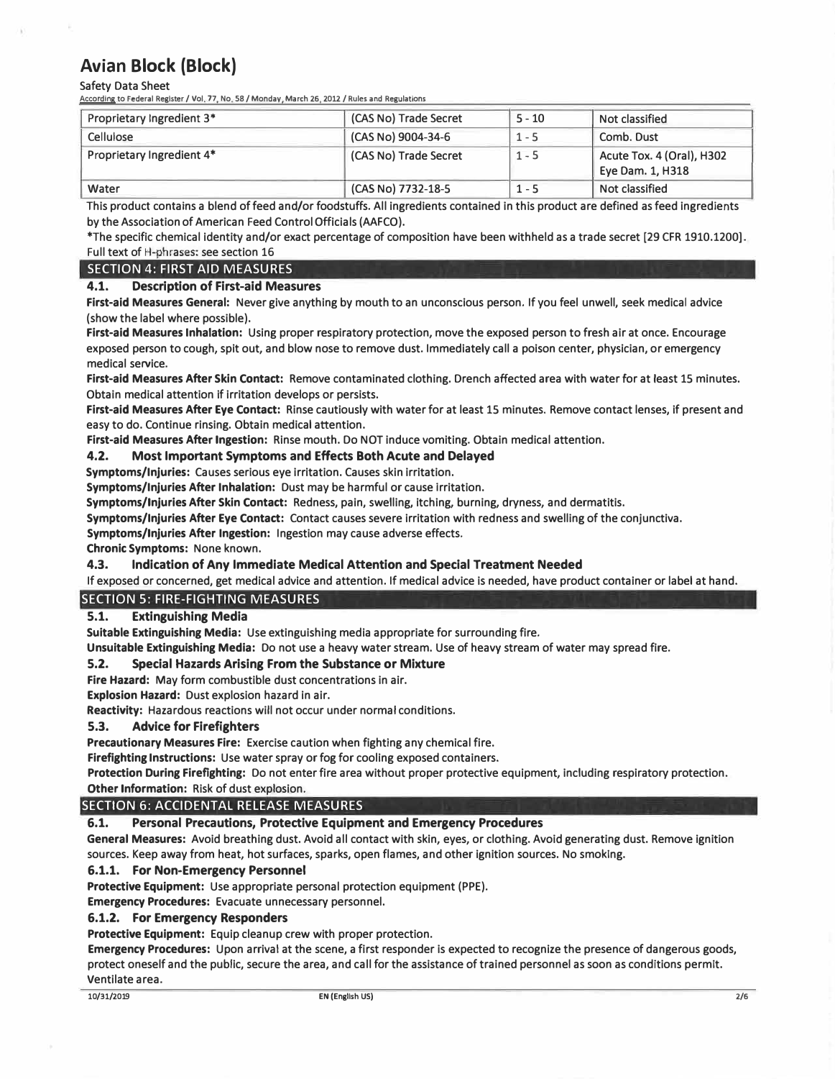Safety Data Sheet

**According to Federal Register/ Vol 77 No 58 / Monday March 26 2012 / Rules and Regulations** 

| Proprietary Ingredient 3* | (CAS No) Trade Secret | $5 - 10$ | Not classified                                |
|---------------------------|-----------------------|----------|-----------------------------------------------|
| Cellulose                 | (CAS No) 9004-34-6    | $1 - 5$  | Comb. Dust                                    |
| Proprietary Ingredient 4* | (CAS No) Trade Secret | $1 - 5$  | Acute Tox. 4 (Oral), H302<br>Eye Dam. 1, H318 |
| Water                     | (CAS No) 7732-18-5    | $1 - 5$  | Not classified                                |

This product contains a blend of feed and/or foodstuffs. All ingredients contained in this product are defined as feed ingredients by the Association of American Feed Control Officials (AAFCO).

\*The specific chemical identity and/or exact percentage of composition have been withheld as a trade secret [29 CFR 1910.1200]. Full text of H-phrases: see section 16

### SECTION 4: FIRST AID MEASURES

#### **4.1. Description of First-aid Measures**

**First-aid Measures General:** Never give anything by mouth to an unconscious person. If you feel unwell, seek medical advice (show the label where possible).

**First-aid Measures Inhalation:** Using proper respiratory protection, move the exposed person to fresh air at once. Encourage exposed person to cough, spit out, and blow nose to remove dust. Immediately call a poison center, physician, or emergency medical service.

**First-aid Measures After Skin Contact:** Remove contaminated clothing. Drench affected area with water for at least 15 minutes. Obtain medical attention if irritation develops or persists.

**First-aid Measures After Eye Contact:** Rinse cautiously with water for at least 15 minutes. Remove contact lenses, if present and easy to do. Continue rinsing. Obtain medical attention.

**First-aid Measures After Ingestion:** Rinse mouth. Do NOT induce vomiting. Obtain medical attention.

#### **4.2. Most Important Symptoms and Effects Both Acute and Delayed**

**Symptoms/Injuries:** Causes serious eye irritation. Causes skin irritation.

**Symptoms/Injuries After Inhalation:** Dust may be harmful or cause Irritation.

**Symptoms/Injuries After Skin Contact:** Redness, pain, swelling, itching, burning, dryness, and dermatitis.

**Symptoms/Injuries After Eye Contact:** Contact causes severe irritation with redness and swelling of the conjunctiva.

**Symptoms/Injuries After Ingestion:** Ingestion may cause adverse effects.

**Chronic Symptoms:** None known.

#### **4.3. Indication of Any Immediate Medical Attention and Special Treatment Needed**

If exposed or concerned, get medical advice and attention. If medical advice is needed, have product container or label at hand.

#### SECTION 5: FIRE-FIGHTING MEASURES

#### **5.1. Extinguishing Media**

**Suitable Extinguishing Media:** Use extinguishing media appropriate for surrounding fire.

**Unsuitable Extinguishing Media:** Do not use a heavy water stream. Use of heavy stream of water may spread fire.

#### **5.2. Special Hazards Arising From the Substance or Mixture**

**Fire Hazard:** May form combustible dust concentrations in air.

**Explosion Hazard:** Dust explosion hazard in air.

**Reactivity:** Hazardous reactions will not occur under normal conditions.

#### **5.3. Advice for Firefighters**

**Precautionary Measures Fire:** Exercise caution when fighting any chemical fire.

**Firefighting Instructions:** Use water spray or fog for cooling exposed containers.

**Protection During Firefighting:** Do not enter fire area without proper protective equipment, including respiratory protection. **Other Information:** Risk of dust explosion.

#### SECTION 6: ACCIDENTAL RELEASE MEASURES

#### **6.1. Personal Precautions, Protective Equipment and Emergency Procedures**

**General Measures:** Avoid breathing dust. Avoid all contact with skin, eyes, or clothing. Avoid generating dust. Remove ignition sources. Keep away from heat, hot surfaces, sparks, open flames, and other ignition sources. No smoking.

#### **6.1.1. For Non-Emergency Personnel**

**Protective Equipment:** Use appropriate personal protection equipment (PPE).

**Emergency Procedures:** Evacuate unnecessary personnel.

#### **6.1.2. For Emergency Responders**

**Protective Equipment:** Equip cleanup crew with proper protection.

**Emergency Procedures:** Upon arrival at the scene, a first responder is expected to recognize the presence of dangerous goods, protect oneself and the public, secure the area, and call for the assistance of trained personnel as soon as conditions permit. Ventilate area.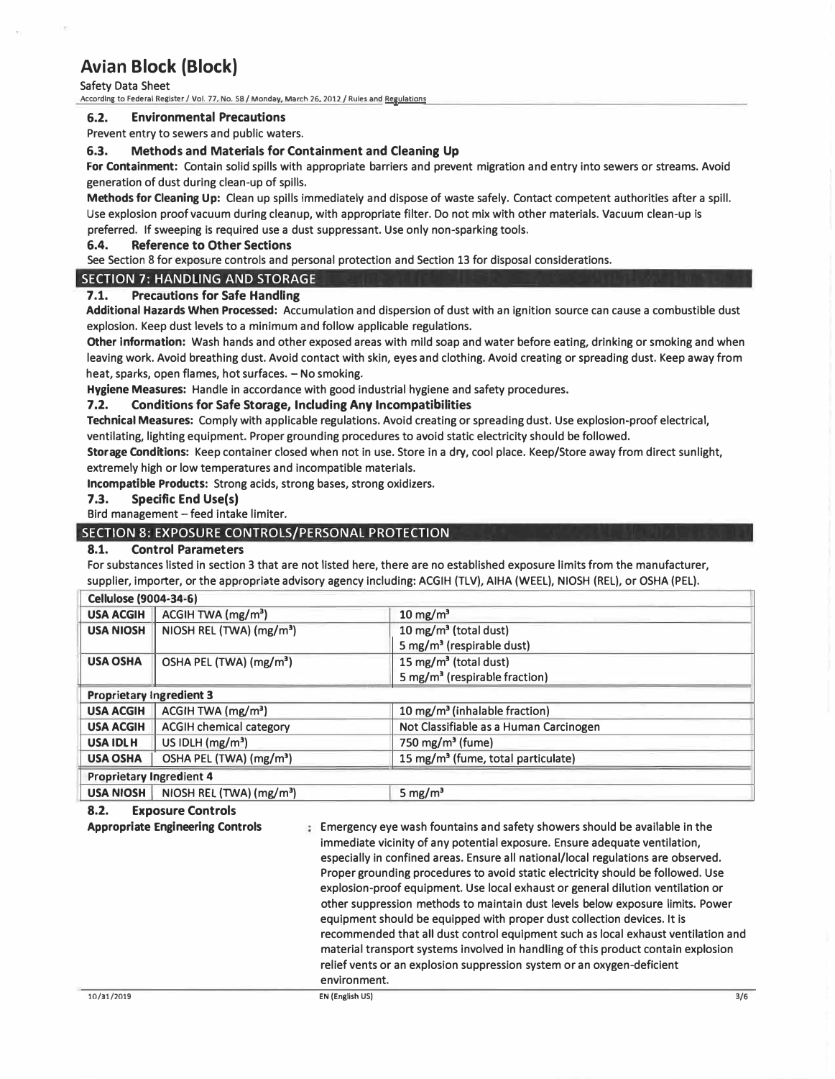Safety Data Sheet

**According to Federal Register/ Vol. 77, No. 58 / Monday, March 26. 2012 / Rules and Regulations** 

#### **6.2. Environmental Precautions**

Prevent entry to sewers and public waters.

#### **6.3. Methods and Materials for Containment and Cleaning Up**

**For Containment:** Contain solid spills with appropriate barriers and prevent migration and entry into sewers or streams. Avoid generation of dust during clean-up of spills.

**Methods for Cleaning Up:** Clean up spills immediately and dispose of waste safely. Contact competent authorities after a spill. Use explosion proof vacuum during cleanup, with appropriate filter. Do not mix with other materials. Vacuum clean-up is preferred. If sweeping is required use a dust suppressant. Use only non-sparking tools.

#### **6.4. Reference to Other Sections**

See Section 8 for exposure controls and personal protection and Section 13 for disposal considerations.

#### SECTION 7: HANDLING AND STORAGE

#### **7.1. Precautions for Safe Handling**

**Additional H azards When Processed:** Accumulation and dispersion of dust with an ignition source can cause a combustible dust explosion. Keep dust levels to a minimum and follow applicable regulations.

**Other information:** Wash hands and other exposed areas with mild soap and water before eating, drinking or smoking and when leaving work. Avoid breathing dust. Avoid contact with skin, eyes and clothing. Avoid creating or spreading dust. Keep away from heat, sparks, open flames, hot surfaces. - No smoking.

**Hygiene Measures:** Handle in accordance with good industrial hygiene and safety procedures.

#### **7.2. Conditions for Safe Storage, Including Any Incompatibilities**

**Technical Measures:** Comply with applicable regulations. Avoid creating or spreading dust. Use explosion-proof electrical,

ventilating, lighting equipment. Proper grounding procedures to avoid static electricity should be followed.

**S torage Conditions:** Keep container closed when not in use. Store in a dry, cool place. Keep/Store away from direct sunlight, extremely high or low temperatures and incompatible materials.

**I ncompatible Products:** Strong acids, strong bases, strong oxidizers.

#### **7.3. Specific End Use(s)**

Bird management  $-$  feed intake limiter.

#### SECTION 8: EXPOSURE CONTROLS/PERSONAL PROTECTION

#### **8.1. Control Parameters**

For substances listed in section 3 that are not listed here, there are no established exposure limits from the manufacturer, supplier, importer, or the appropriate advisory agency including: ACGIH (TLV), AIHA (WEEL), NIOSH (REL), or OSHA (PEL).

| <b>Cellulose (9004-34-6)</b>    |                                     |                                                |  |
|---------------------------------|-------------------------------------|------------------------------------------------|--|
| <b>USA ACGIH</b>                | ACGIH TWA (mg/m <sup>3</sup> )      | $10 \text{ mg/m}^3$                            |  |
| <b>USA NIOSH</b>                | NIOSH REL (TWA) $(mg/m3)$           | 10 mg/m <sup>3</sup> (total dust)              |  |
|                                 |                                     | 5 mg/m <sup>3</sup> (respirable dust)          |  |
| <b>USA OSHA</b>                 | OSHA PEL (TWA) (mg/m <sup>3</sup> ) | 15 mg/m <sup>3</sup> (total dust)              |  |
|                                 |                                     | 5 mg/m <sup>3</sup> (respirable fraction)      |  |
| <b>Proprietary Ingredient 3</b> |                                     |                                                |  |
| <b>USA ACGIH</b>                | ACGIH TWA (mg/m <sup>3</sup> )      | 10 mg/m <sup>3</sup> (inhalable fraction)      |  |
| <b>USA ACGIH</b>                | <b>ACGIH chemical category</b>      | Not Classifiable as a Human Carcinogen         |  |
| <b>USA IDLH</b>                 | US IDLH $(mg/m3)$                   | 750 mg/m <sup>3</sup> (fume)                   |  |
| <b>USA OSHA</b>                 | OSHA PEL (TWA) (mg/m <sup>3</sup> ) | 15 mg/m <sup>3</sup> (fume, total particulate) |  |
| <b>Proprietary Ingredient 4</b> |                                     |                                                |  |
| <b>USA NIOSH</b>                | NIOSH REL (TWA) $(mg/m3)$           | 5 mg/ $m3$                                     |  |

#### **8.2. Exposure Controls**

**Appropriate Engineering Controls** 

Emergency eye wash fountains and safety showers should be available in the immediate vicinity of any potential exposure. Ensure adequate ventilation, especially in confined areas. Ensure all national/local regulations are observed. Proper grounding procedures to avoid static electricity should be followed. Use explosion-proof equipment. Use local exhaust or general dilution ventilation or other suppression methods to maintain dust levels below exposure limits. Power equipment should be equipped with proper dust collection devices. It is recommended that all dust control equipment such as local exhaust ventilation and material transport systems involved in handling of this product contain explosion relief vents or an explosion suppression system or an oxygen-deficient environment.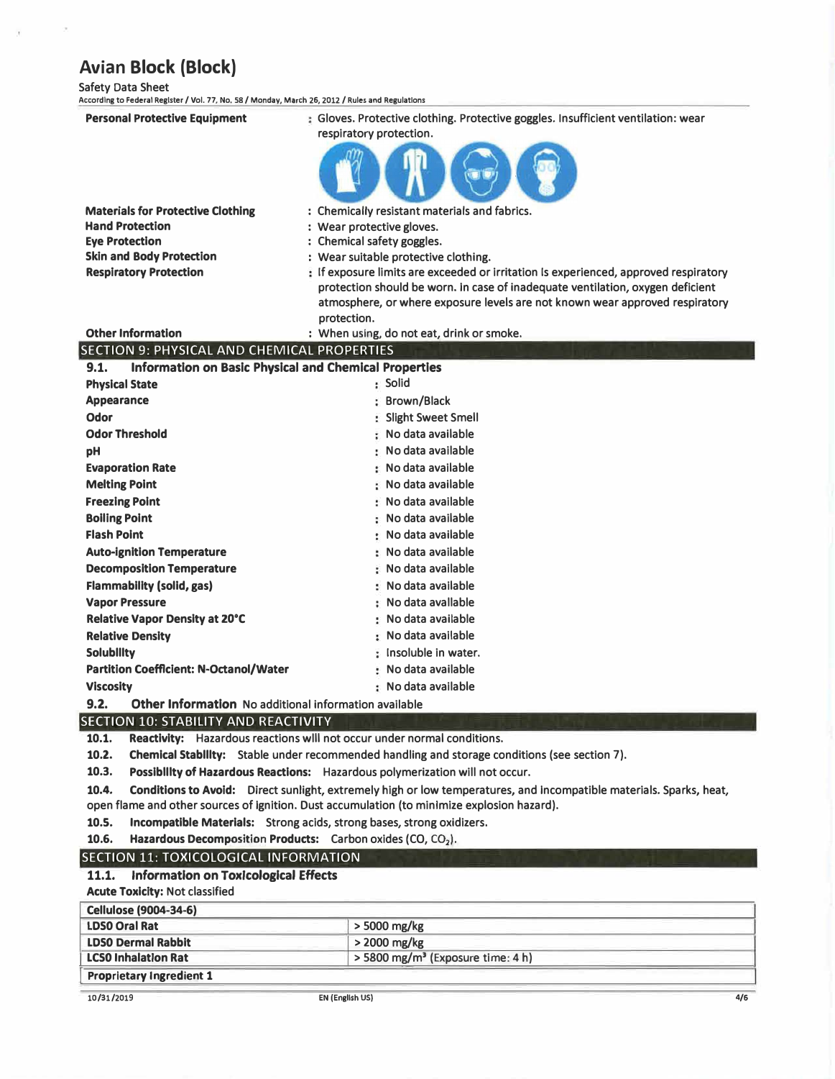Safety Data Sheet

I

**According to Federal Register/ Vol. 77, No. 58 / Monday, March 26, 2012 / Rules and Regulations** 

| <b>Personal Protective Equipment</b>                                 | : Gloves. Protective clothing. Protective goggles. Insufficient ventilation: wear<br>respiratory protection.        |
|----------------------------------------------------------------------|---------------------------------------------------------------------------------------------------------------------|
|                                                                      |                                                                                                                     |
|                                                                      |                                                                                                                     |
| <b>Materials for Protective Clothing</b>                             | : Chemically resistant materials and fabrics.                                                                       |
| <b>Hand Protection</b>                                               | : Wear protective gloves.                                                                                           |
| <b>Eye Protection</b>                                                | : Chemical safety goggles.                                                                                          |
| <b>Skin and Body Protection</b>                                      | : Wear suitable protective clothing.                                                                                |
| <b>Respiratory Protection</b>                                        | : If exposure limits are exceeded or irritation is experienced, approved respiratory                                |
|                                                                      | protection should be worn. In case of inadequate ventilation, oxygen deficient                                      |
|                                                                      | atmosphere, or where exposure levels are not known wear approved respiratory                                        |
|                                                                      | protection.                                                                                                         |
| <b>Other Information</b>                                             | : When using, do not eat, drink or smoke.                                                                           |
| SECTION 9: PHYSICAL AND CHEMICAL PROPERTIES                          |                                                                                                                     |
| <b>Information on Basic Physical and Chemical Properties</b><br>9.1. |                                                                                                                     |
| <b>Physical State</b>                                                | : Solid                                                                                                             |
| <b>Appearance</b>                                                    | : Brown/Black                                                                                                       |
| Odor                                                                 | : Slight Sweet Smell                                                                                                |
| <b>Odor Threshold</b>                                                | : No data available                                                                                                 |
| рH                                                                   | : No data available                                                                                                 |
| <b>Evaporation Rate</b>                                              | : No data available                                                                                                 |
| <b>Melting Point</b>                                                 | : No data available                                                                                                 |
| <b>Freezing Point</b>                                                | : No data available                                                                                                 |
| <b>Boiling Point</b>                                                 | : No data available                                                                                                 |
| <b>Flash Point</b>                                                   | : No data available                                                                                                 |
| <b>Auto-ignition Temperature</b>                                     | : No data available                                                                                                 |
| <b>Decomposition Temperature</b>                                     | : No data available                                                                                                 |
| <b>Flammability (solid, gas)</b>                                     | : No data available                                                                                                 |
| <b>Vapor Pressure</b>                                                | : No data avallable                                                                                                 |
| <b>Relative Vapor Density at 20°C</b>                                | : No data available                                                                                                 |
| <b>Relative Density</b>                                              | : No data available                                                                                                 |
| <b>Solubility</b>                                                    | : Insoluble in water.                                                                                               |
| <b>Partition Coefficient: N-Octanol/Water</b>                        | : No data available                                                                                                 |
| <b>Viscosity</b>                                                     | : No data available                                                                                                 |
| 9.2.<br><b>Other Information</b> No additional information available |                                                                                                                     |
| SECTION 10: STABILITY AND REACTIVITY                                 |                                                                                                                     |
| 10.1.                                                                | Reactivity: Hazardous reactions will not occur under normal conditions.                                             |
| 10.2.                                                                | Chemical Stability: Stable under recommended handling and storage conditions (see section 7).                       |
| 10.3.                                                                | Possibility of Hazardous Reactions: Hazardous polymerization will not occur.                                        |
| 10.4.                                                                | Conditions to Avoid: Direct sunlight, extremely high or low temperatures, and incompatible materials. Sparks, heat, |

- open flame and other sources of Ignition. Dust accumulation (to minimize explosion hazard).
- 10.5. Incompatible Materials: Strong acids, strong bases, strong oxidizers.<br>10.6. Hazardous Decomposition Products: Carbon oxides (CO, CO<sub>2</sub>).
- **Hazardous Decomposition Products:** Carbon oxides (CO, CO<sub>2</sub>).

### SECTION 11: TOXICOLOGICAL INFORMATION **11.1. Information on Toxicological Effects**

### **Acute Toxicity:** Not classified

| <b>Cellulose (9004-34-6)</b>    |                                                 |  |
|---------------------------------|-------------------------------------------------|--|
| <b>LDSO Oral Rat</b>            | $>$ 5000 mg/kg                                  |  |
| <b>LDSO Dermal Rabbit</b>       | $>$ 2000 mg/kg                                  |  |
| <b>LCSO Inhalation Rat</b>      | $>$ 5800 mg/m <sup>3</sup> (Exposure time: 4 h) |  |
| <b>Proprietary Ingredient 1</b> |                                                 |  |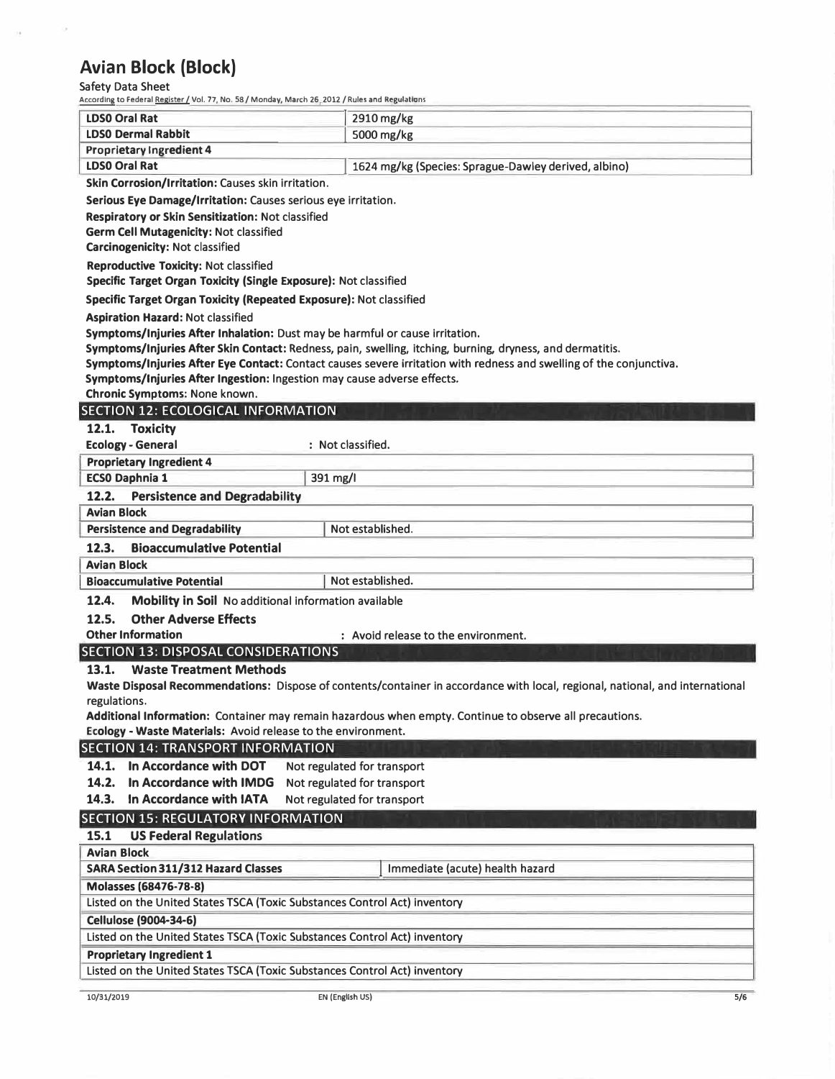# Safety Data Sheet

 $\alpha$ 

j.

| According to Federal <u>Register /</u> Vol. 77, No. 58 / Monday, March 26, 2012 / Rules and Regulations |                                                                                                                               |
|---------------------------------------------------------------------------------------------------------|-------------------------------------------------------------------------------------------------------------------------------|
| <b>LDSO Oral Rat</b>                                                                                    | 2910 mg/kg                                                                                                                    |
| <b>LDSO Dermal Rabbit</b>                                                                               | 5000 mg/kg                                                                                                                    |
| Proprietary Ingredient 4                                                                                |                                                                                                                               |
| <b>LDSO Oral Rat</b>                                                                                    | 1624 mg/kg (Species: Sprague-Dawley derived, albino)                                                                          |
| Skin Corrosion/Irritation: Causes skin irritation.                                                      |                                                                                                                               |
| Serious Eye Damage/Irritation: Causes serious eye irritation.                                           |                                                                                                                               |
| Respiratory or Skin Sensitization: Not classified                                                       |                                                                                                                               |
| <b>Germ Cell Mutagenicity: Not classified</b>                                                           |                                                                                                                               |
| <b>Carcinogenicity: Not classified</b>                                                                  |                                                                                                                               |
| <b>Reproductive Toxicity: Not classified</b>                                                            |                                                                                                                               |
| Specific Target Organ Toxicity (Single Exposure): Not classified                                        |                                                                                                                               |
| Specific Target Organ Toxicity (Repeated Exposure): Not classified                                      |                                                                                                                               |
| <b>Aspiration Hazard: Not classified</b>                                                                |                                                                                                                               |
| Symptoms/Injuries After Inhalation: Dust may be harmful or cause irritation.                            |                                                                                                                               |
|                                                                                                         | Symptoms/Injuries After Skin Contact: Redness, pain, swelling, itching, burning, dryness, and dermatitis.                     |
| Symptoms/Injuries After Ingestion: Ingestion may cause adverse effects.                                 | Symptoms/Injuries After Eye Contact: Contact causes severe irritation with redness and swelling of the conjunctiva.           |
| Chronic Symptoms: None known.                                                                           |                                                                                                                               |
| <b>SECTION 12: ECOLOGICAL INFORMATION</b>                                                               |                                                                                                                               |
| 12.1. Toxicity                                                                                          |                                                                                                                               |
| <b>Ecology - General</b>                                                                                | : Not classified.                                                                                                             |
| <b>Proprietary Ingredient 4</b>                                                                         |                                                                                                                               |
| <b>ECSO Daphnia 1</b><br>391 mg/l                                                                       |                                                                                                                               |
| 12.2.<br><b>Persistence and Degradability</b>                                                           |                                                                                                                               |
| <b>Avian Block</b>                                                                                      |                                                                                                                               |
| <b>Persistence and Degradability</b>                                                                    | Not established.                                                                                                              |
| <b>Bioaccumulative Potential</b><br>12.3.                                                               |                                                                                                                               |
| <b>Avian Block</b>                                                                                      |                                                                                                                               |
| <b>Bioaccumulative Potential</b>                                                                        | Not established.                                                                                                              |
| 12.4.<br>Mobility in Soil No additional information available                                           |                                                                                                                               |
| <b>Other Adverse Effects</b><br>12.5.                                                                   |                                                                                                                               |
| <b>Other Information</b>                                                                                | : Avoid release to the environment.                                                                                           |
| SECTION 13: DISPOSAL CONSIDERATIONS                                                                     |                                                                                                                               |
| <b>Waste Treatment Methods</b><br>13.1.                                                                 |                                                                                                                               |
|                                                                                                         | Waste Disposal Recommendations: Dispose of contents/container in accordance with local, regional, national, and international |
| regulations.                                                                                            |                                                                                                                               |
|                                                                                                         | Additional Information: Container may remain hazardous when empty. Continue to observe all precautions.                       |
| Ecology - Waste Materials: Avoid release to the environment.                                            |                                                                                                                               |
| <b>SECTION 14: TRANSPORT INFORMATION</b>                                                                |                                                                                                                               |
| 14.1. In Accordance with DOT                                                                            | Not regulated for transport                                                                                                   |
| In Accordance with IMDG<br>14.2.                                                                        | Not regulated for transport                                                                                                   |
| In Accordance with IATA<br>14.3.                                                                        | Not regulated for transport                                                                                                   |
| <b>SECTION 15: REGULATORY INFORMATION</b>                                                               |                                                                                                                               |
| 15.1<br><b>US Federal Regulations</b>                                                                   |                                                                                                                               |
| <b>Avian Block</b>                                                                                      |                                                                                                                               |
| <b>SARA Section 311/312 Hazard Classes</b>                                                              | Immediate (acute) health hazard                                                                                               |
| Molasses (68476-78-8)                                                                                   |                                                                                                                               |
| Listed on the United States TSCA (Toxic Substances Control Act) inventory                               |                                                                                                                               |
| <b>Cellulose (9004-34-6)</b>                                                                            |                                                                                                                               |
| Listed on the United States TSCA (Toxic Substances Control Act) inventory                               |                                                                                                                               |
| <b>Proprietary Ingredient 1</b>                                                                         |                                                                                                                               |
| Listed on the United States TSCA (Toxic Substances Control Act) inventory                               |                                                                                                                               |